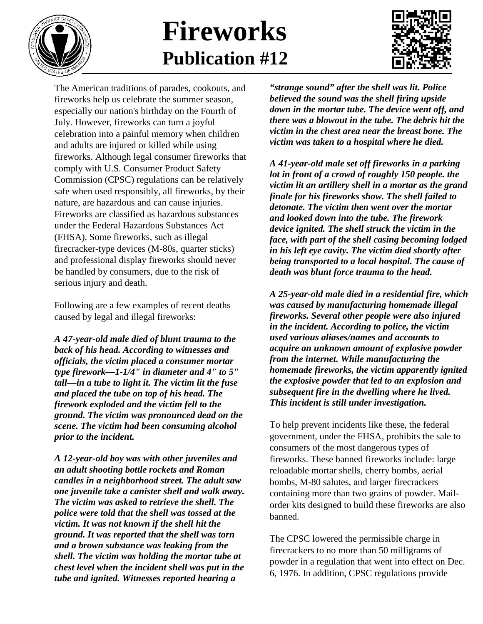

## **Fireworks Publication #12**



The American traditions of parades, cookouts, and fireworks help us celebrate the summer season, especially our nation's birthday on the Fourth of July. However, fireworks can turn a joyful celebration into a painful memory when children and adults are injured or killed while using fireworks. Although legal consumer fireworks that comply with U.S. Consumer Product Safety Commission (CPSC) regulations can be relatively safe when used responsibly, all fireworks, by their nature, are hazardous and can cause injuries. Fireworks are classified as hazardous substances under the Federal Hazardous Substances Act (FHSA). Some fireworks, such as illegal firecracker-type devices (M-80s, quarter sticks) and professional display fireworks should never be handled by consumers, due to the risk of serious injury and death.

Following are a few examples of recent deaths caused by legal and illegal fireworks:

*A 47-year-old male died of blunt trauma to the back of his head. According to witnesses and officials, the victim placed a consumer mortar type firework—1-1/4" in diameter and 4" to 5" tall—in a tube to light it. The victim lit the fuse and placed the tube on top of his head. The firework exploded and the victim fell to the ground. The victim was pronounced dead on the scene. The victim had been consuming alcohol prior to the incident.*

*A 12-year-old boy was with other juveniles and an adult shooting bottle rockets and Roman candles in a neighborhood street. The adult saw one juvenile take a canister shell and walk away. The victim was asked to retrieve the shell. The police were told that the shell was tossed at the victim. It was not known if the shell hit the ground. It was reported that the shell was torn and a brown substance was leaking from the shell. The victim was holding the mortar tube at chest level when the incident shell was put in the tube and ignited. Witnesses reported hearing a* 

*"strange sound" after the shell was lit. Police believed the sound was the shell firing upside down in the mortar tube. The device went off, and there was a blowout in the tube. The debris hit the victim in the chest area near the breast bone. The victim was taken to a hospital where he died.*

*A 41-year-old male set off fireworks in a parking lot in front of a crowd of roughly 150 people. the victim lit an artillery shell in a mortar as the grand finale for his fireworks show. The shell failed to detonate. The victim then went over the mortar and looked down into the tube. The firework device ignited. The shell struck the victim in the face, with part of the shell casing becoming lodged in his left eye cavity. The victim died shortly after being transported to a local hospital. The cause of death was blunt force trauma to the head.*

*A 25-year-old male died in a residential fire, which was caused by manufacturing homemade illegal fireworks. Several other people were also injured in the incident. According to police, the victim used various aliases/names and accounts to acquire an unknown amount of explosive powder from the internet. While manufacturing the homemade fireworks, the victim apparently ignited the explosive powder that led to an explosion and subsequent fire in the dwelling where he lived. This incident is still under investigation.*

To help prevent incidents like these, the federal government, under the FHSA, prohibits the sale to consumers of the most dangerous types of fireworks. These banned fireworks include: large reloadable mortar shells, cherry bombs, aerial bombs, M-80 salutes, and larger firecrackers containing more than two grains of powder. Mailorder kits designed to build these fireworks are also banned.

The CPSC lowered the permissible charge in firecrackers to no more than 50 milligrams of powder in a regulation that went into effect on Dec. 6, 1976. In addition, CPSC regulations provide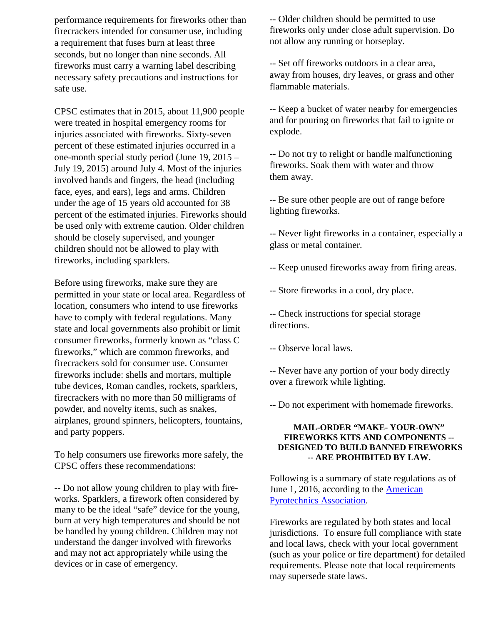performance requirements for fireworks other than firecrackers intended for consumer use, including a requirement that fuses burn at least three seconds, but no longer than nine seconds. All fireworks must carry a warning label describing necessary safety precautions and instructions for safe use.

CPSC estimates that in 2015, about 11,900 people were treated in hospital emergency rooms for injuries associated with fireworks. Sixty-seven percent of these estimated injuries occurred in a one-month special study period (June 19, 2015 – July 19, 2015) around July 4. Most of the injuries involved hands and fingers, the head (including face, eyes, and ears), legs and arms. Children under the age of 15 years old accounted for 38 percent of the estimated injuries. Fireworks should be used only with extreme caution. Older children should be closely supervised, and younger children should not be allowed to play with fireworks, including sparklers.

Before using fireworks, make sure they are permitted in your state or local area. Regardless of location, consumers who intend to use fireworks have to comply with federal regulations. Many state and local governments also prohibit or limit consumer fireworks, formerly known as "class C fireworks," which are common fireworks, and firecrackers sold for consumer use. Consumer fireworks include: shells and mortars, multiple tube devices, Roman candles, rockets, sparklers, firecrackers with no more than 50 milligrams of powder, and novelty items, such as snakes, airplanes, ground spinners, helicopters, fountains, and party poppers.

To help consumers use fireworks more safely, the CPSC offers these recommendations:

-- Do not allow young children to play with fireworks. Sparklers, a firework often considered by many to be the ideal "safe" device for the young, burn at very high temperatures and should be not be handled by young children. Children may not understand the danger involved with fireworks and may not act appropriately while using the devices or in case of emergency.

-- Older children should be permitted to use fireworks only under close adult supervision. Do not allow any running or horseplay.

-- Set off fireworks outdoors in a clear area, away from houses, dry leaves, or grass and other flammable materials.

-- Keep a bucket of water nearby for emergencies and for pouring on fireworks that fail to ignite or explode.

-- Do not try to relight or handle malfunctioning fireworks. Soak them with water and throw them away.

-- Be sure other people are out of range before lighting fireworks.

-- Never light fireworks in a container, especially a glass or metal container.

-- Keep unused fireworks away from firing areas.

-- Store fireworks in a cool, dry place.

-- Check instructions for special storage directions.

-- Observe local laws.

-- Never have any portion of your body directly over a firework while lighting.

-- Do not experiment with homemade fireworks.

## **MAIL-ORDER "MAKE- YOUR-OWN" FIREWORKS KITS AND COMPONENTS -- DESIGNED TO BUILD BANNED FIREWORKS -- ARE PROHIBITED BY LAW.**

Following is a summary of state regulations as of June 1, 2016, according to the [American](http://www.americanpyro.com/state-law-directory)  [Pyrotechnics Association.](http://www.americanpyro.com/state-law-directory)

Fireworks are regulated by both states and local jurisdictions. To ensure full compliance with state and local laws, check with your local government (such as your police or fire department) for detailed requirements. Please note that local requirements may supersede state laws.